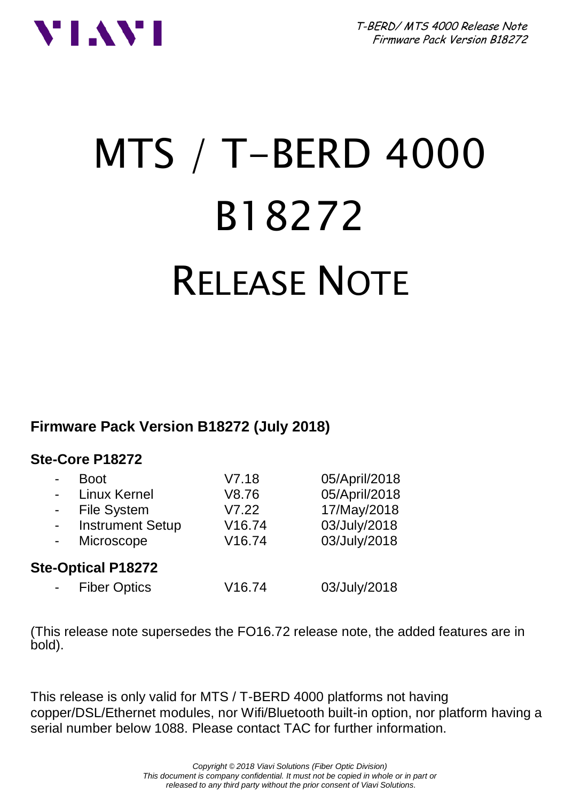



# MTS / T-BERD 4000 B18272 RELEASE NOTE

#### **Firmware Pack Version B18272 (July 2018)**

#### **Ste-Core P18272**

|                          | <b>Boot</b>               | V7.18              | 05/April/2018 |
|--------------------------|---------------------------|--------------------|---------------|
| $\blacksquare$           | Linux Kernel              | V8.76              | 05/April/2018 |
|                          | <b>File System</b>        | V7.22              | 17/May/2018   |
| $\overline{\phantom{a}}$ | <b>Instrument Setup</b>   | V <sub>16.74</sub> | 03/July/2018  |
| $\blacksquare$           | Microscope                | V16.74             | 03/July/2018  |
|                          | <b>Ste-Optical P18272</b> |                    |               |
|                          | <b>Fiber Optics</b>       | V16.74             | 03/July/2018  |

(This release note supersedes the FO16.72 release note, the added features are in bold).

This release is only valid for MTS / T-BERD 4000 platforms not having copper/DSL/Ethernet modules, nor Wifi/Bluetooth built-in option, nor platform having a serial number below 1088. Please contact TAC for further information.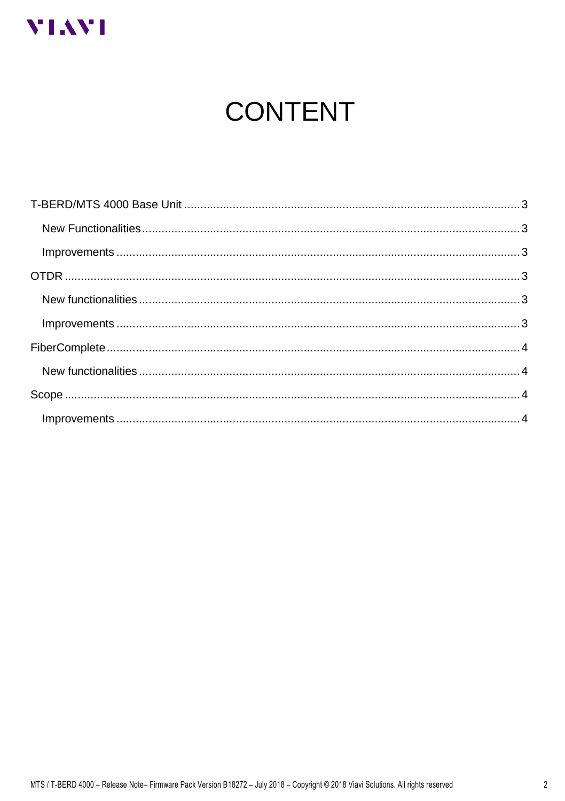

# **CONTENT**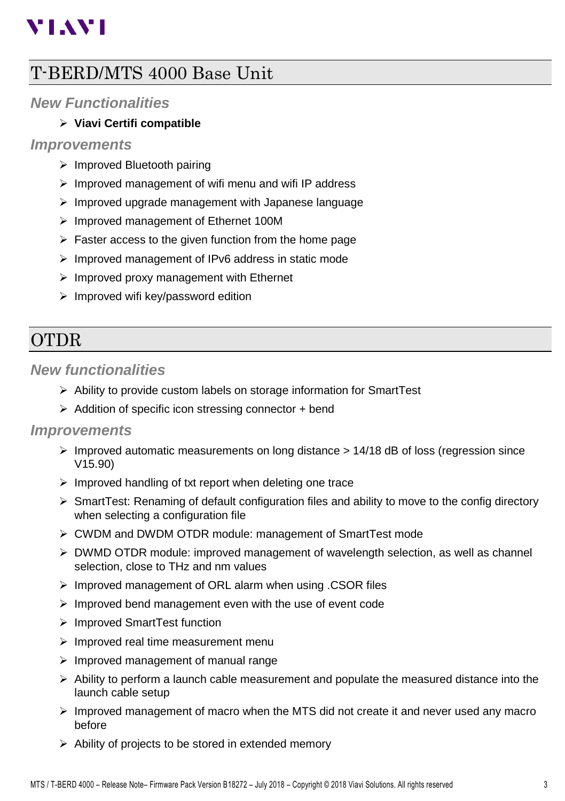# **VIAVI**

## <span id="page-2-0"></span>T-BERD/MTS 4000 Base Unit

#### <span id="page-2-1"></span>*New Functionalities*

#### ➢ **Viavi Certifi compatible**

#### <span id="page-2-2"></span>*Improvements*

- ➢ Improved Bluetooth pairing
- ➢ Improved management of wifi menu and wifi IP address
- ➢ Improved upgrade management with Japanese language
- ➢ Improved management of Ethernet 100M
- $\triangleright$  Faster access to the given function from the home page
- ➢ Improved management of IPv6 address in static mode
- ➢ Improved proxy management with Ethernet
- ➢ Improved wifi key/password edition

## <span id="page-2-3"></span>OTDR

#### <span id="page-2-4"></span>*New functionalities*

- ➢ Ability to provide custom labels on storage information for SmartTest
- ➢ Addition of specific icon stressing connector + bend

#### <span id="page-2-5"></span>*Improvements*

- $\triangleright$  Improved automatic measurements on long distance  $> 14/18$  dB of loss (regression since V15.90)
- $\triangleright$  Improved handling of txt report when deleting one trace
- ➢ SmartTest: Renaming of default configuration files and ability to move to the config directory when selecting a configuration file
- ➢ CWDM and DWDM OTDR module: management of SmartTest mode
- $\triangleright$  DWMD OTDR module: improved management of wavelength selection, as well as channel selection, close to THz and nm values
- ➢ Improved management of ORL alarm when using .CSOR files
- ➢ Improved bend management even with the use of event code
- ➢ Improved SmartTest function
- ➢ Improved real time measurement menu
- $\triangleright$  Improved management of manual range
- $\triangleright$  Ability to perform a launch cable measurement and populate the measured distance into the launch cable setup
- $\triangleright$  Improved management of macro when the MTS did not create it and never used any macro before
- ➢ Ability of projects to be stored in extended memory